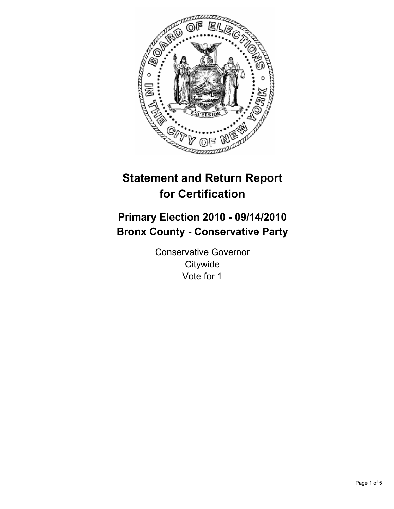

# **Statement and Return Report for Certification**

## **Primary Election 2010 - 09/14/2010 Bronx County - Conservative Party**

Conservative Governor **Citywide** Vote for 1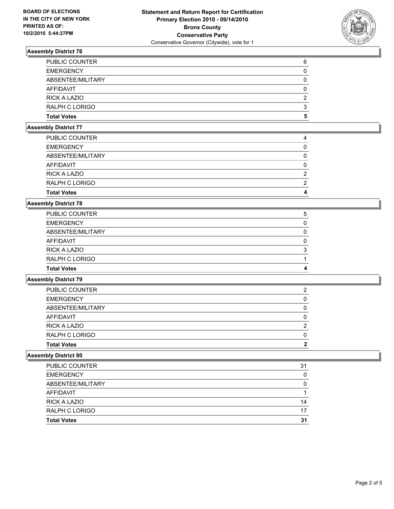

### **Assembly District 76**

| 5 |
|---|
| 3 |
| 2 |
| 0 |
| 0 |
| 0 |
| 6 |
|   |

#### **Assembly District 77**

| <b>Total Votes</b>  | 4 |
|---------------------|---|
| RALPH C LORIGO      | 2 |
| <b>RICK A LAZIO</b> | 2 |
| <b>AFFIDAVIT</b>    | 0 |
| ABSENTEE/MILITARY   |   |
| <b>EMERGENCY</b>    |   |
| PUBLIC COUNTER      | 4 |

#### **Assembly District 78**

| <b>Total Votes</b>    | 4 |
|-----------------------|---|
| RALPH C LORIGO        |   |
| RICK A LAZIO          | 3 |
| AFFIDAVIT             | 0 |
| ABSENTEE/MILITARY     | 0 |
| <b>EMERGENCY</b>      | 0 |
| <b>PUBLIC COUNTER</b> | 5 |

#### **Assembly District 79**

| <b>Total Votes</b>    |   |
|-----------------------|---|
| <b>RALPH C LORIGO</b> |   |
| <b>RICK A LAZIO</b>   | 2 |
| AFFIDAVIT             | 0 |
| ABSENTEE/MILITARY     | 0 |
| <b>EMERGENCY</b>      | 0 |
| <b>PUBLIC COUNTER</b> | 2 |

#### **Assembly District 80**

| PUBLIC COUNTER        | 31 |
|-----------------------|----|
| <b>EMERGENCY</b>      | 0  |
| ABSENTEE/MILITARY     | 0  |
| AFFIDAVIT             |    |
| <b>RICK A LAZIO</b>   | 14 |
| <b>RALPH C LORIGO</b> | 17 |
| <b>Total Votes</b>    | 31 |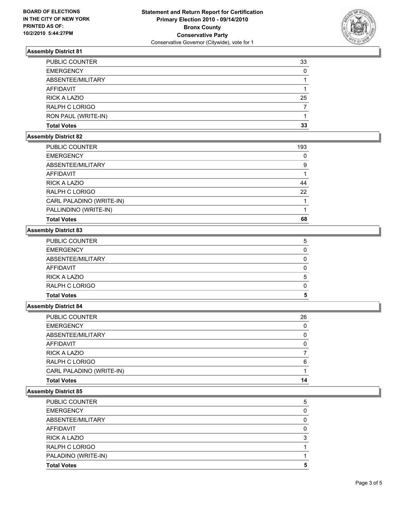

### **Assembly District 81**

| <b>PUBLIC COUNTER</b> | 33 |
|-----------------------|----|
| <b>EMERGENCY</b>      | 0  |
| ABSENTEE/MILITARY     |    |
| <b>AFFIDAVIT</b>      |    |
| RICK A LAZIO          | 25 |
| RALPH C LORIGO        |    |
| RON PAUL (WRITE-IN)   |    |
| <b>Total Votes</b>    | 33 |

#### **Assembly District 82**

| <b>PUBLIC COUNTER</b>    | 193 |
|--------------------------|-----|
| <b>EMERGENCY</b>         | 0   |
| ABSENTEE/MILITARY        | 9   |
| AFFIDAVIT                |     |
| <b>RICK A LAZIO</b>      | 44  |
| <b>RALPH C LORIGO</b>    | 22  |
| CARL PALADINO (WRITE-IN) |     |
| PALLINDINO (WRITE-IN)    |     |
| <b>Total Votes</b>       | 68  |

#### **Assembly District 83**

| <b>Total Votes</b>  | 5 |
|---------------------|---|
| RALPH C LORIGO      | 0 |
| <b>RICK A LAZIO</b> | 5 |
| <b>AFFIDAVIT</b>    |   |
| ABSENTEE/MILITARY   |   |
| <b>EMERGENCY</b>    | 0 |
| PUBLIC COUNTER      | 5 |

#### **Assembly District 84**

| Total Votes              | 14 |
|--------------------------|----|
| CARL PALADINO (WRITE-IN) |    |
| RALPH C LORIGO           | 6  |
| RICK A LAZIO             | 7  |
| AFFIDAVIT                | 0  |
| ABSENTEE/MILITARY        | 0  |
| EMERGENCY                | 0  |
| PUBLIC COUNTER           | 26 |
|                          |    |

#### **Assembly District 85**

| <b>Total Votes</b>    | 5 |
|-----------------------|---|
| PALADINO (WRITE-IN)   |   |
| RALPH C LORIGO        |   |
| <b>RICK A LAZIO</b>   | 3 |
| <b>AFFIDAVIT</b>      | 0 |
| ABSENTEE/MILITARY     | 0 |
| <b>EMERGENCY</b>      | 0 |
| <b>PUBLIC COUNTER</b> | 5 |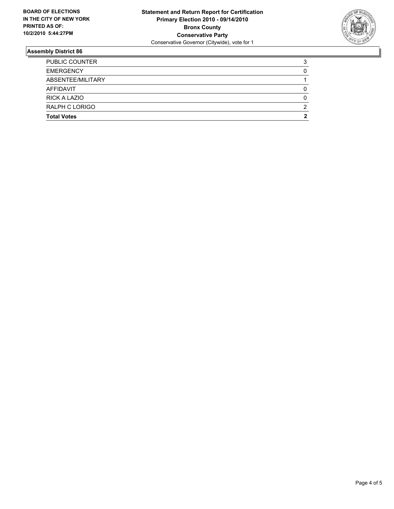

#### **Assembly District 86**

| <b>Total Votes</b>    | 2 |
|-----------------------|---|
| <b>RALPH C LORIGO</b> | 2 |
| <b>RICK A LAZIO</b>   | 0 |
| AFFIDAVIT             |   |
| ABSENTEE/MILITARY     |   |
| <b>EMERGENCY</b>      | 0 |
| <b>PUBLIC COUNTER</b> | 3 |